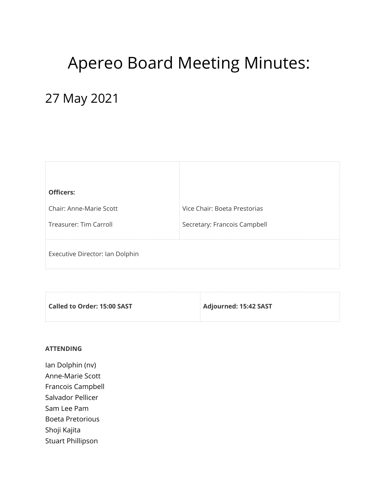# Apereo Board Meeting Minutes:

## 27 May 2021

| <b>Officers:</b>                |                              |
|---------------------------------|------------------------------|
| Chair: Anne-Marie Scott         | Vice Chair: Boeta Prestorias |
| Treasurer: Tim Carroll          | Secretary: Francois Campbell |
| Executive Director: Ian Dolphin |                              |

| Called to Order: 15:00 SAST | Adjourned: 15:42 SAST |
|-----------------------------|-----------------------|
|                             |                       |

#### **ATTENDING**

Ian Dolphin (nv) Anne-Marie Scott Francois Campbell Salvador Pellicer Sam Lee Pam Boeta Pretorious Shoji Kajita Stuart Phillipson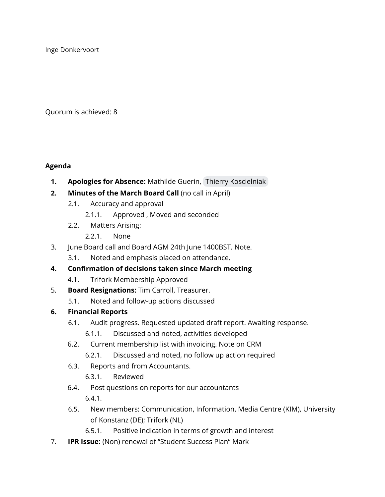Inge Donkervoort

Quorum is achieved: 8

#### **Agenda**

- **1. Apologies for Absence:** Mathilde Guerin, Thierry [Koscielniak](mailto:thierry.koscielniak@apereo.org)
- **2. Minutes of the March Board Call** (no call in April)
	- 2.1. Accuracy and approval
		- 2.1.1. Approved , Moved and seconded
	- 2.2. Matters Arising:
		- 2.2.1. None
- 3. June Board call and Board AGM 24th June 1400BST. Note.
	- 3.1. Noted and emphasis placed on attendance.
- **4. Confirmation of decisions taken since March meeting**
	- 4.1. Trifork Membership Approved
- 5. **Board Resignations:** Tim Carroll, Treasurer.
	- 5.1. Noted and follow-up actions discussed

### **6. Financial Reports**

- 6.1. Audit progress. Requested updated draft report. Awaiting response.
	- 6.1.1. Discussed and noted, activities developed
- 6.2. Current membership list with invoicing. Note on CRM
	- 6.2.1. Discussed and noted, no follow up action required
- 6.3. Reports and from Accountants.
	- 6.3.1. Reviewed
- 6.4. Post questions on reports for our accountants 6.4.1.
- 6.5. New members: Communication, Information, Media Centre (KIM), University of Konstanz (DE); Trifork (NL)
	- 6.5.1. Positive indication in terms of growth and interest
- 7. **IPR Issue:** (Non) renewal of "Student Success Plan" Mark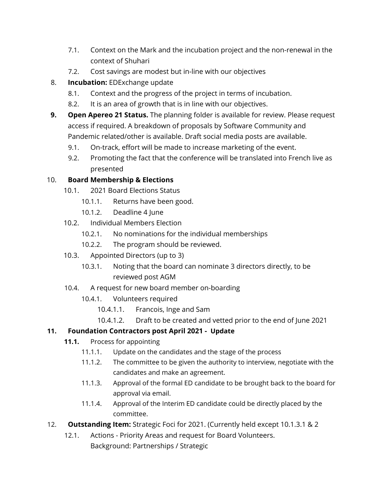- 7.1. Context on the Mark and the incubation project and the non-renewal in the context of Shuhari
- 7.2. Cost savings are modest but in-line with our objectives
- 8. **Incubation:** EDExchange update
	- 8.1. Context and the progress of the project in terms of incubation.
	- 8.2. It is an area of growth that is in line with our objectives.
- **9. Open Apereo 21 Status.** The planning folder is available for review. Please request access if required. A breakdown of proposals by Software Community and Pandemic related/other is available. Draft social media posts are available.
	- 9.1. On-track, effort will be made to increase marketing of the event.
	- 9.2. Promoting the fact that the conference will be translated into French live as presented

#### 10. **Board Membership & Elections**

- 10.1. 2021 Board Elections Status
	- 10.1.1. Returns have been good.
	- 10.1.2. Deadline 4 June
- 10.2. Individual Members Election
	- 10.2.1. No nominations for the individual memberships
	- 10.2.2. The program should be reviewed.
- 10.3. Appointed Directors (up to 3)
	- 10.3.1. Noting that the board can nominate 3 directors directly, to be reviewed post AGM
- 10.4. A request for new board member on-boarding
	- 10.4.1. Volunteers required
		- 10.4.1.1. Francois, Inge and Sam
		- 10.4.1.2. Draft to be created and vetted prior to the end of June 2021

### **11. Foundation Contractors post April 2021 - Update**

- **11.1.** Process for appointing
	- 11.1.1. Update on the candidates and the stage of the process
	- 11.1.2. The committee to be given the authority to interview, negotiate with the candidates and make an agreement.
	- 11.1.3. Approval of the formal ED candidate to be brought back to the board for approval via email.
	- 11.1.4. Approval of the Interim ED candidate could be directly placed by the committee.
- 12. **Outstanding Item:** Strategic Foci for 2021. (Currently held except 10.1.3.1 & 2
	- 12.1. Actions Priority Areas and request for Board Volunteers. Background: Partnerships / Strategic